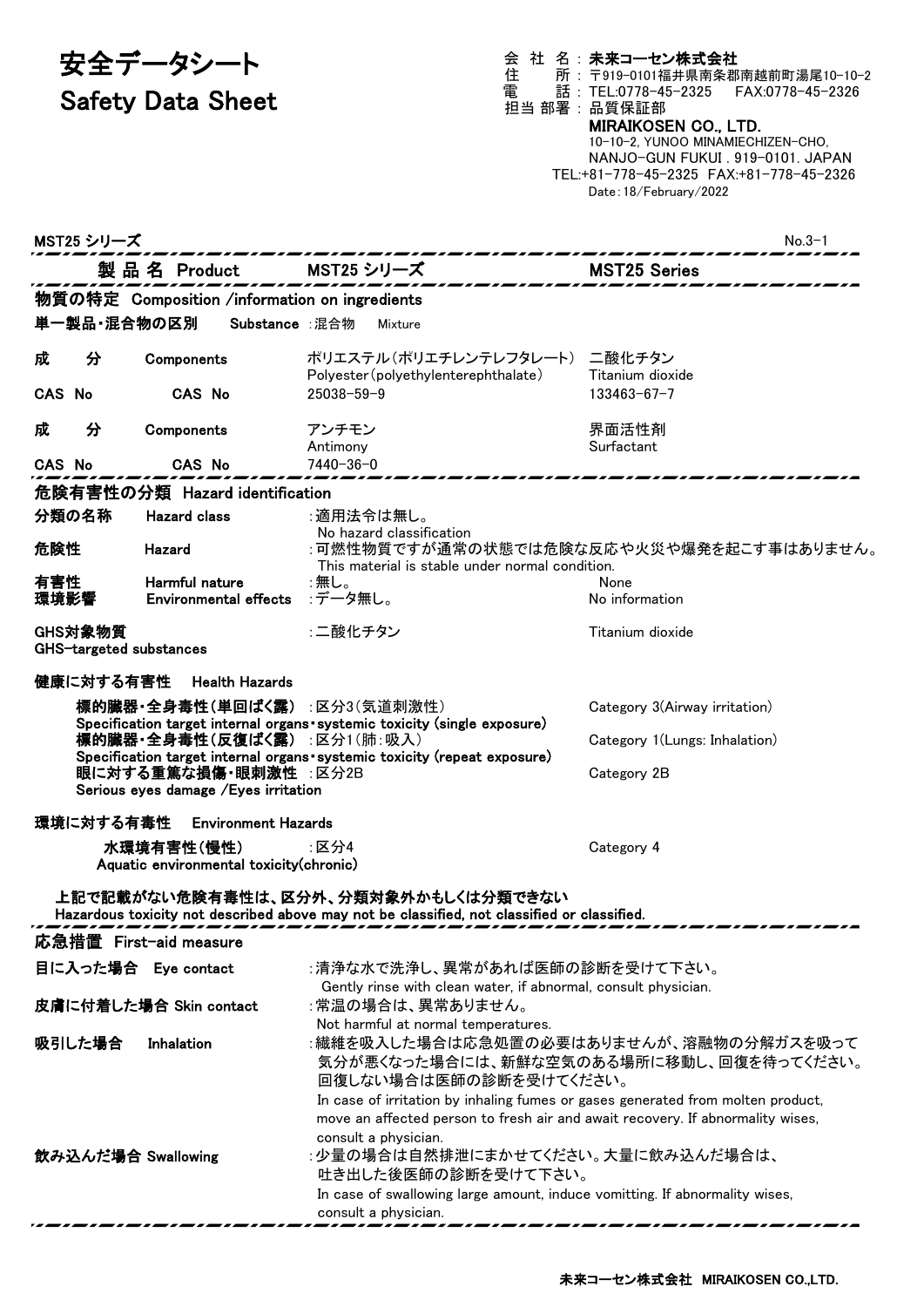# 安全データシート Safety Data Sheet

会 社 名 : 未来コーセン株式会社

住 所 : 〒919-0101福井県南条郡南越前町湯尾10-10-2 電 話 : TEL:0778-45-2325 FAX:0778-45-2326 担当 部署 : 品質保証部 MIRAIKOSEN CO., LTD. 10-10-2, YUNOO MINAMIECHIZEN-CHO, NANJO-GUN FUKUI . 919-0101. JAPAN TEL:+81-778-45-2325 FAX:+81-778-45-2326 Date:18/February/2022

|                                                                                                                                    | MST25 シリーズ                                                                                                                                |                                                        | ,,,,,,,,,,,,,,,,,,,                                                                                                                                                                                                                                                                                                                  | $No.3-1$                                                                          |  |
|------------------------------------------------------------------------------------------------------------------------------------|-------------------------------------------------------------------------------------------------------------------------------------------|--------------------------------------------------------|--------------------------------------------------------------------------------------------------------------------------------------------------------------------------------------------------------------------------------------------------------------------------------------------------------------------------------------|-----------------------------------------------------------------------------------|--|
|                                                                                                                                    |                                                                                                                                           | 製 品 名 Product                                          | MST25 シリーズ                                                                                                                                                                                                                                                                                                                           | <b>MST25 Series</b>                                                               |  |
|                                                                                                                                    |                                                                                                                                           | 物質の特定 Composition /information on ingredients          |                                                                                                                                                                                                                                                                                                                                      |                                                                                   |  |
|                                                                                                                                    |                                                                                                                                           | 単一製品・混合物の区別<br>Substance : 混合物                         | Mixture                                                                                                                                                                                                                                                                                                                              |                                                                                   |  |
| 成<br>CAS No                                                                                                                        | 分                                                                                                                                         | Components<br><b>CAS No</b>                            | ポリエステル(ポリエチレンテレフタレート) 二酸化チタン<br>Polyester (polyethylenterephthalate)                                                                                                                                                                                                                                                                 | Titanium dioxide<br>$133463 - 67 - 7$                                             |  |
|                                                                                                                                    |                                                                                                                                           |                                                        | 25038-59-9                                                                                                                                                                                                                                                                                                                           |                                                                                   |  |
| 成                                                                                                                                  | 分                                                                                                                                         | Components                                             | アンチモン<br>Antimony                                                                                                                                                                                                                                                                                                                    | 界面活性剤<br><b>Surfactant</b>                                                        |  |
| CAS No                                                                                                                             |                                                                                                                                           | <b>CAS No</b>                                          | 7440-36-0                                                                                                                                                                                                                                                                                                                            |                                                                                   |  |
|                                                                                                                                    |                                                                                                                                           | 危険有害性の分類 Hazard identification                         |                                                                                                                                                                                                                                                                                                                                      |                                                                                   |  |
|                                                                                                                                    | 分類の名称                                                                                                                                     | <b>Hazard class</b>                                    | :適用法令は無し。                                                                                                                                                                                                                                                                                                                            |                                                                                   |  |
| 危険性                                                                                                                                |                                                                                                                                           | Hazard                                                 | No hazard classification<br>This material is stable under normal condition.                                                                                                                                                                                                                                                          | :可燃性物質ですが通常の状態では危険な反応や火災や爆発を起こす事はありません。                                           |  |
| 有害性<br>環境影響                                                                                                                        |                                                                                                                                           | Harmful nature<br>Environmental effects :データ無し。        | :無し。                                                                                                                                                                                                                                                                                                                                 | None<br>No information                                                            |  |
|                                                                                                                                    | GHS対象物質                                                                                                                                   | GHS-targeted substances                                | :二酸化チタン                                                                                                                                                                                                                                                                                                                              | Titanium dioxide                                                                  |  |
|                                                                                                                                    | 健康に対する有害性                                                                                                                                 | Health Hazards                                         |                                                                                                                                                                                                                                                                                                                                      |                                                                                   |  |
|                                                                                                                                    | 標的臟器・全身毒性(単回ばく露) :区分3(気道刺激性)<br>Category 3(Airway irritation)<br>Specification target internal organs systemic toxicity (single exposure) |                                                        |                                                                                                                                                                                                                                                                                                                                      |                                                                                   |  |
| 標的臟器・全身毒性(反復ばく露) :区分1(肺:吸入)<br>眼に対する重篤な損傷·眼刺激性 : 区分2B<br>Serious eyes damage / Eyes irritation                                     |                                                                                                                                           |                                                        | Specification target internal organs systemic toxicity (repeat exposure)                                                                                                                                                                                                                                                             | Category 1(Lungs: Inhalation)                                                     |  |
|                                                                                                                                    |                                                                                                                                           |                                                        |                                                                                                                                                                                                                                                                                                                                      | Category 2B                                                                       |  |
|                                                                                                                                    | 環境に対する有毒性                                                                                                                                 | Environment Hazards                                    |                                                                                                                                                                                                                                                                                                                                      |                                                                                   |  |
|                                                                                                                                    |                                                                                                                                           | 水環境有害性(慢性)<br>Aquatic environmental toxicity (chronic) | :区分4                                                                                                                                                                                                                                                                                                                                 | Category 4                                                                        |  |
| 上記で記載がない危険有毒性は、区分外、分類対象外かもしくは分類できない<br>Hazardous toxicity not described above may not be classified, not classified or classified. |                                                                                                                                           |                                                        |                                                                                                                                                                                                                                                                                                                                      |                                                                                   |  |
|                                                                                                                                    |                                                                                                                                           | 応急措置 First-aid measure                                 |                                                                                                                                                                                                                                                                                                                                      |                                                                                   |  |
|                                                                                                                                    |                                                                                                                                           | 目に入った場合 Eye contact                                    | :清浄な水で洗浄し、異常があれば医師の診断を受けて下さい。                                                                                                                                                                                                                                                                                                        |                                                                                   |  |
|                                                                                                                                    |                                                                                                                                           | 皮膚に付着した場合 Skin contact                                 | Gently rinse with clean water, if abnormal, consult physician.<br>:常温の場合は、異常ありません。                                                                                                                                                                                                                                                   |                                                                                   |  |
|                                                                                                                                    | 吸引した場合                                                                                                                                    | Inhalation                                             | Not harmful at normal temperatures.<br>回復しない場合は医師の診断を受けてください。                                                                                                                                                                                                                                                                        | :繊維を吸入した場合は応急処置の必要はありませんが、溶融物の分解ガスを吸って<br>気分が悪くなった場合には、新鮮な空気のある場所に移動し、回復を待ってください。 |  |
|                                                                                                                                    |                                                                                                                                           | 飲み込んだ場合 Swallowing                                     | In case of irritation by inhaling fumes or gases generated from molten product,<br>move an affected person to fresh air and await recovery. If abnormality wises,<br>consult a physician.<br>:少量の場合は自然排泄にまかせてください。大量に飲み込んだ場合は、<br>吐き出した後医師の診断を受けて下さい。<br>In case of swallowing large amount, induce vomitting. If abnormality wises, |                                                                                   |  |
|                                                                                                                                    |                                                                                                                                           |                                                        | consult a physician.                                                                                                                                                                                                                                                                                                                 |                                                                                   |  |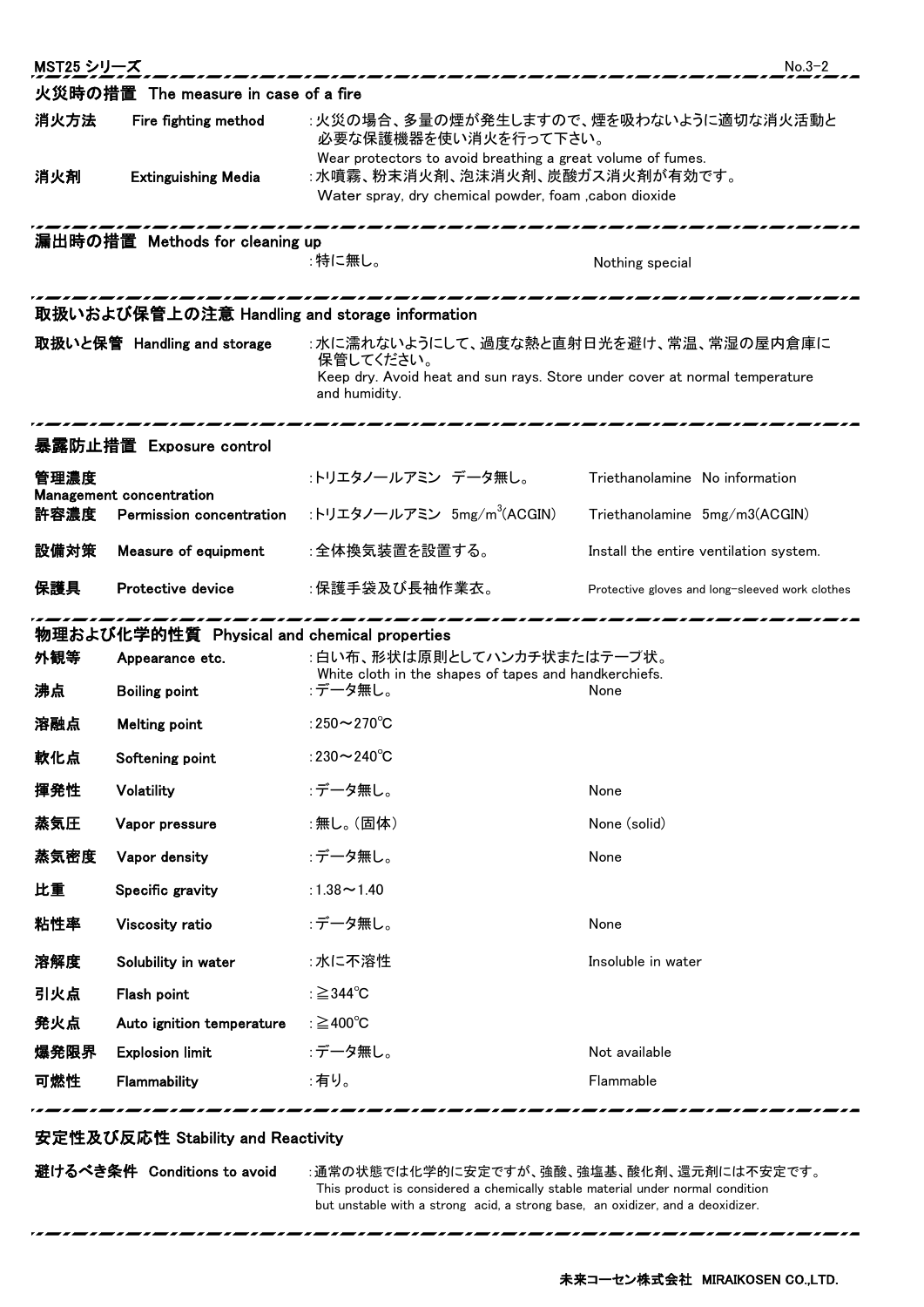| 火災時の措置 The measure in case of a fire<br>消火方法<br>:火災の場合、多量の煙が発生しますので、煙を吸わないように適切な消火活動と<br>Fire fighting method<br>必要な保護機器を使い消火を行って下さい。<br>Wear protectors to avoid breathing a great volume of fumes.<br>消火剤<br>:水噴霧、粉末消火剤、泡沫消火剤、炭酸ガス消火剤が有効です。<br><b>Extinguishing Media</b><br>Water spray, dry chemical powder, foam , cabon dioxide<br>漏出時の措置 Methods for cleaning up<br>:特に無し。<br>Nothing special<br>取扱いおよび保管上の注意 Handling and storage information<br>:水に濡れないようにして、過度な熱と直射日光を避け、常温、常湿の屋内倉庫に<br>取扱いと保管 Handling and storage<br>保管してください。<br>Keep dry. Avoid heat and sun rays. Store under cover at normal temperature<br>and humidity.<br>暴露防止措置 Exposure control<br>:トリエタノールアミン データ無し。<br>管理濃度<br>Triethanolamine No information<br>Management concentration<br>:トリエタノールアミン 5mg/m <sup>3</sup> (ACGIN)<br>許容濃度<br>Permission concentration<br>Triethanolamine 5mg/m3(ACGIN)<br>設備対策<br>:全体換気装置を設置する。<br>Measure of equipment<br>Install the entire ventilation system.<br>保護具<br>: 保護手袋及び長袖作業衣。<br>Protective device<br>Protective gloves and long-sleeved work clothes<br>物理および化学的性質 Physical and chemical properties<br>外観等<br>:白い布、形状は原則としてハンカチ状またはテープ状。<br>Appearance etc.<br>White cloth in the shapes of tapes and handkerchiefs.<br>沸点<br>:データ無し。<br><b>Boiling point</b><br>None<br>溶融点<br>:250 $\sim$ 270 $^{\circ}$ C<br><b>Melting point</b><br>:230 $\sim$ 240 $^{\circ}$ C<br>軟化点<br>Softening point<br>揮発性<br>:データ無し。<br>Volatility<br>None<br>蒸気圧<br>:無し。(固体)<br>None (solid)<br>Vapor pressure<br>蒸気密度<br>:データ無し。<br>Vapor density<br>None<br>比重<br>: $1.38 - 1.40$<br>Specific gravity<br>粘性率<br>:データ無し。<br><b>Viscosity ratio</b><br>None<br>溶解度<br>:水に不溶性<br>Solubility in water<br>Insoluble in water<br>引火点<br>: ≧344°C<br>Flash point<br>発火点<br>: ≧400°C<br>Auto ignition temperature<br>爆発限界<br>:データ無し。<br>Not available<br><b>Explosion limit</b><br>可燃性<br>:有り。<br>Flammability<br>Flammable | MST25 シリーズ<br>$No.3-2$ |  |  |  |
|---------------------------------------------------------------------------------------------------------------------------------------------------------------------------------------------------------------------------------------------------------------------------------------------------------------------------------------------------------------------------------------------------------------------------------------------------------------------------------------------------------------------------------------------------------------------------------------------------------------------------------------------------------------------------------------------------------------------------------------------------------------------------------------------------------------------------------------------------------------------------------------------------------------------------------------------------------------------------------------------------------------------------------------------------------------------------------------------------------------------------------------------------------------------------------------------------------------------------------------------------------------------------------------------------------------------------------------------------------------------------------------------------------------------------------------------------------------------------------------------------------------------------------------------------------------------------------------------------------------------------------------------------------------------------------------------------------------------------------------------------------------------------------------------------------------------------------------------------------------------------------------------------------------------------|------------------------|--|--|--|
|                                                                                                                                                                                                                                                                                                                                                                                                                                                                                                                                                                                                                                                                                                                                                                                                                                                                                                                                                                                                                                                                                                                                                                                                                                                                                                                                                                                                                                                                                                                                                                                                                                                                                                                                                                                                                                                                                                                           |                        |  |  |  |
|                                                                                                                                                                                                                                                                                                                                                                                                                                                                                                                                                                                                                                                                                                                                                                                                                                                                                                                                                                                                                                                                                                                                                                                                                                                                                                                                                                                                                                                                                                                                                                                                                                                                                                                                                                                                                                                                                                                           |                        |  |  |  |
|                                                                                                                                                                                                                                                                                                                                                                                                                                                                                                                                                                                                                                                                                                                                                                                                                                                                                                                                                                                                                                                                                                                                                                                                                                                                                                                                                                                                                                                                                                                                                                                                                                                                                                                                                                                                                                                                                                                           |                        |  |  |  |
|                                                                                                                                                                                                                                                                                                                                                                                                                                                                                                                                                                                                                                                                                                                                                                                                                                                                                                                                                                                                                                                                                                                                                                                                                                                                                                                                                                                                                                                                                                                                                                                                                                                                                                                                                                                                                                                                                                                           |                        |  |  |  |
|                                                                                                                                                                                                                                                                                                                                                                                                                                                                                                                                                                                                                                                                                                                                                                                                                                                                                                                                                                                                                                                                                                                                                                                                                                                                                                                                                                                                                                                                                                                                                                                                                                                                                                                                                                                                                                                                                                                           |                        |  |  |  |
|                                                                                                                                                                                                                                                                                                                                                                                                                                                                                                                                                                                                                                                                                                                                                                                                                                                                                                                                                                                                                                                                                                                                                                                                                                                                                                                                                                                                                                                                                                                                                                                                                                                                                                                                                                                                                                                                                                                           |                        |  |  |  |
|                                                                                                                                                                                                                                                                                                                                                                                                                                                                                                                                                                                                                                                                                                                                                                                                                                                                                                                                                                                                                                                                                                                                                                                                                                                                                                                                                                                                                                                                                                                                                                                                                                                                                                                                                                                                                                                                                                                           |                        |  |  |  |
|                                                                                                                                                                                                                                                                                                                                                                                                                                                                                                                                                                                                                                                                                                                                                                                                                                                                                                                                                                                                                                                                                                                                                                                                                                                                                                                                                                                                                                                                                                                                                                                                                                                                                                                                                                                                                                                                                                                           |                        |  |  |  |
|                                                                                                                                                                                                                                                                                                                                                                                                                                                                                                                                                                                                                                                                                                                                                                                                                                                                                                                                                                                                                                                                                                                                                                                                                                                                                                                                                                                                                                                                                                                                                                                                                                                                                                                                                                                                                                                                                                                           |                        |  |  |  |
|                                                                                                                                                                                                                                                                                                                                                                                                                                                                                                                                                                                                                                                                                                                                                                                                                                                                                                                                                                                                                                                                                                                                                                                                                                                                                                                                                                                                                                                                                                                                                                                                                                                                                                                                                                                                                                                                                                                           |                        |  |  |  |
|                                                                                                                                                                                                                                                                                                                                                                                                                                                                                                                                                                                                                                                                                                                                                                                                                                                                                                                                                                                                                                                                                                                                                                                                                                                                                                                                                                                                                                                                                                                                                                                                                                                                                                                                                                                                                                                                                                                           |                        |  |  |  |
|                                                                                                                                                                                                                                                                                                                                                                                                                                                                                                                                                                                                                                                                                                                                                                                                                                                                                                                                                                                                                                                                                                                                                                                                                                                                                                                                                                                                                                                                                                                                                                                                                                                                                                                                                                                                                                                                                                                           |                        |  |  |  |
|                                                                                                                                                                                                                                                                                                                                                                                                                                                                                                                                                                                                                                                                                                                                                                                                                                                                                                                                                                                                                                                                                                                                                                                                                                                                                                                                                                                                                                                                                                                                                                                                                                                                                                                                                                                                                                                                                                                           |                        |  |  |  |
|                                                                                                                                                                                                                                                                                                                                                                                                                                                                                                                                                                                                                                                                                                                                                                                                                                                                                                                                                                                                                                                                                                                                                                                                                                                                                                                                                                                                                                                                                                                                                                                                                                                                                                                                                                                                                                                                                                                           |                        |  |  |  |
|                                                                                                                                                                                                                                                                                                                                                                                                                                                                                                                                                                                                                                                                                                                                                                                                                                                                                                                                                                                                                                                                                                                                                                                                                                                                                                                                                                                                                                                                                                                                                                                                                                                                                                                                                                                                                                                                                                                           |                        |  |  |  |
|                                                                                                                                                                                                                                                                                                                                                                                                                                                                                                                                                                                                                                                                                                                                                                                                                                                                                                                                                                                                                                                                                                                                                                                                                                                                                                                                                                                                                                                                                                                                                                                                                                                                                                                                                                                                                                                                                                                           |                        |  |  |  |
|                                                                                                                                                                                                                                                                                                                                                                                                                                                                                                                                                                                                                                                                                                                                                                                                                                                                                                                                                                                                                                                                                                                                                                                                                                                                                                                                                                                                                                                                                                                                                                                                                                                                                                                                                                                                                                                                                                                           |                        |  |  |  |
|                                                                                                                                                                                                                                                                                                                                                                                                                                                                                                                                                                                                                                                                                                                                                                                                                                                                                                                                                                                                                                                                                                                                                                                                                                                                                                                                                                                                                                                                                                                                                                                                                                                                                                                                                                                                                                                                                                                           |                        |  |  |  |
|                                                                                                                                                                                                                                                                                                                                                                                                                                                                                                                                                                                                                                                                                                                                                                                                                                                                                                                                                                                                                                                                                                                                                                                                                                                                                                                                                                                                                                                                                                                                                                                                                                                                                                                                                                                                                                                                                                                           |                        |  |  |  |
|                                                                                                                                                                                                                                                                                                                                                                                                                                                                                                                                                                                                                                                                                                                                                                                                                                                                                                                                                                                                                                                                                                                                                                                                                                                                                                                                                                                                                                                                                                                                                                                                                                                                                                                                                                                                                                                                                                                           |                        |  |  |  |
|                                                                                                                                                                                                                                                                                                                                                                                                                                                                                                                                                                                                                                                                                                                                                                                                                                                                                                                                                                                                                                                                                                                                                                                                                                                                                                                                                                                                                                                                                                                                                                                                                                                                                                                                                                                                                                                                                                                           |                        |  |  |  |
|                                                                                                                                                                                                                                                                                                                                                                                                                                                                                                                                                                                                                                                                                                                                                                                                                                                                                                                                                                                                                                                                                                                                                                                                                                                                                                                                                                                                                                                                                                                                                                                                                                                                                                                                                                                                                                                                                                                           |                        |  |  |  |
|                                                                                                                                                                                                                                                                                                                                                                                                                                                                                                                                                                                                                                                                                                                                                                                                                                                                                                                                                                                                                                                                                                                                                                                                                                                                                                                                                                                                                                                                                                                                                                                                                                                                                                                                                                                                                                                                                                                           |                        |  |  |  |
|                                                                                                                                                                                                                                                                                                                                                                                                                                                                                                                                                                                                                                                                                                                                                                                                                                                                                                                                                                                                                                                                                                                                                                                                                                                                                                                                                                                                                                                                                                                                                                                                                                                                                                                                                                                                                                                                                                                           |                        |  |  |  |
|                                                                                                                                                                                                                                                                                                                                                                                                                                                                                                                                                                                                                                                                                                                                                                                                                                                                                                                                                                                                                                                                                                                                                                                                                                                                                                                                                                                                                                                                                                                                                                                                                                                                                                                                                                                                                                                                                                                           |                        |  |  |  |
|                                                                                                                                                                                                                                                                                                                                                                                                                                                                                                                                                                                                                                                                                                                                                                                                                                                                                                                                                                                                                                                                                                                                                                                                                                                                                                                                                                                                                                                                                                                                                                                                                                                                                                                                                                                                                                                                                                                           |                        |  |  |  |
|                                                                                                                                                                                                                                                                                                                                                                                                                                                                                                                                                                                                                                                                                                                                                                                                                                                                                                                                                                                                                                                                                                                                                                                                                                                                                                                                                                                                                                                                                                                                                                                                                                                                                                                                                                                                                                                                                                                           |                        |  |  |  |

### 安定性及び反応性 Stability and Reactivity

避けるべき条件 Conditions to avoid :通常の状態では化学的に安定ですが、強酸、強塩基、酸化剤、還元剤には不安定です。 This product is considered a chemically stable material under normal condition but unstable with a strong acid, a strong base, an oxidizer, and a deoxidizer.

,,,,,